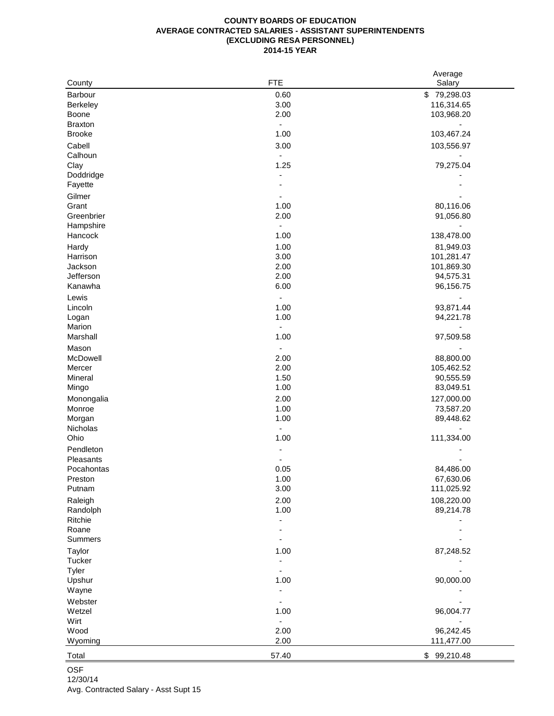## **COUNTY BOARDS OF EDUCATION AVERAGE CONTRACTED SALARIES - ASSISTANT SUPERINTENDENTS (EXCLUDING RESA PERSONNEL) 2014-15 YEAR**

|                | <b>FTE</b>                   | Average     |
|----------------|------------------------------|-------------|
| County         |                              | Salary      |
| Barbour        | 0.60                         | \$79,298.03 |
| Berkeley       | 3.00                         | 116,314.65  |
| Boone          | 2.00                         | 103,968.20  |
| <b>Braxton</b> | $\qquad \qquad \blacksquare$ |             |
| <b>Brooke</b>  | 1.00                         | 103,467.24  |
| Cabell         | 3.00                         | 103,556.97  |
| Calhoun        | $\blacksquare$               |             |
| Clay           | 1.25                         | 79,275.04   |
| Doddridge      |                              |             |
| Fayette        |                              |             |
| Gilmer         |                              |             |
| Grant          | 1.00                         | 80,116.06   |
| Greenbrier     | 2.00                         | 91,056.80   |
| Hampshire      | $\blacksquare$               |             |
| Hancock        | 1.00                         | 138,478.00  |
| Hardy          | 1.00                         | 81,949.03   |
| Harrison       | 3.00                         | 101,281.47  |
| Jackson        | 2.00                         | 101,869.30  |
| Jefferson      | 2.00                         | 94,575.31   |
| Kanawha        | 6.00                         | 96,156.75   |
| Lewis          | $\qquad \qquad \blacksquare$ |             |
| Lincoln        | 1.00                         | 93,871.44   |
| Logan          | 1.00                         | 94,221.78   |
| Marion         | $\blacksquare$               |             |
| Marshall       | 1.00                         | 97,509.58   |
|                |                              |             |
| Mason          | $\blacksquare$               |             |
| McDowell       | 2.00                         | 88,800.00   |
| Mercer         | 2.00                         | 105,462.52  |
| Mineral        | 1.50                         | 90,555.59   |
| Mingo          | 1.00                         | 83,049.51   |
| Monongalia     | 2.00                         | 127,000.00  |
| Monroe         | 1.00                         | 73,587.20   |
| Morgan         | 1.00                         | 89,448.62   |
| Nicholas       | $\overline{\phantom{a}}$     |             |
| Ohio           | 1.00                         | 111,334.00  |
| Pendleton      |                              |             |
| Pleasants      |                              |             |
| Pocahontas     | 0.05                         | 84,486.00   |
| Preston        | 1.00                         | 67,630.06   |
| Putnam         | 3.00                         | 111,025.92  |
| Raleigh        | 2.00                         | 108,220.00  |
| Randolph       | 1.00                         | 89,214.78   |
| Ritchie        |                              |             |
| Roane          |                              |             |
| Summers        |                              |             |
| Taylor         | 1.00                         | 87,248.52   |
| Tucker         |                              |             |
| Tyler          |                              |             |
| Upshur         | 1.00                         | 90,000.00   |
| Wayne          |                              |             |
| Webster        |                              |             |
|                |                              |             |
| Wetzel         | 1.00                         | 96,004.77   |
| Wirt           | $\qquad \qquad \blacksquare$ |             |
| Wood           | 2.00                         | 96,242.45   |
| Wyoming        | 2.00                         | 111,477.00  |
| Total          | 57.40                        | \$99,210.48 |

## OSF

12/30/14

Avg. Contracted Salary - Asst Supt 15